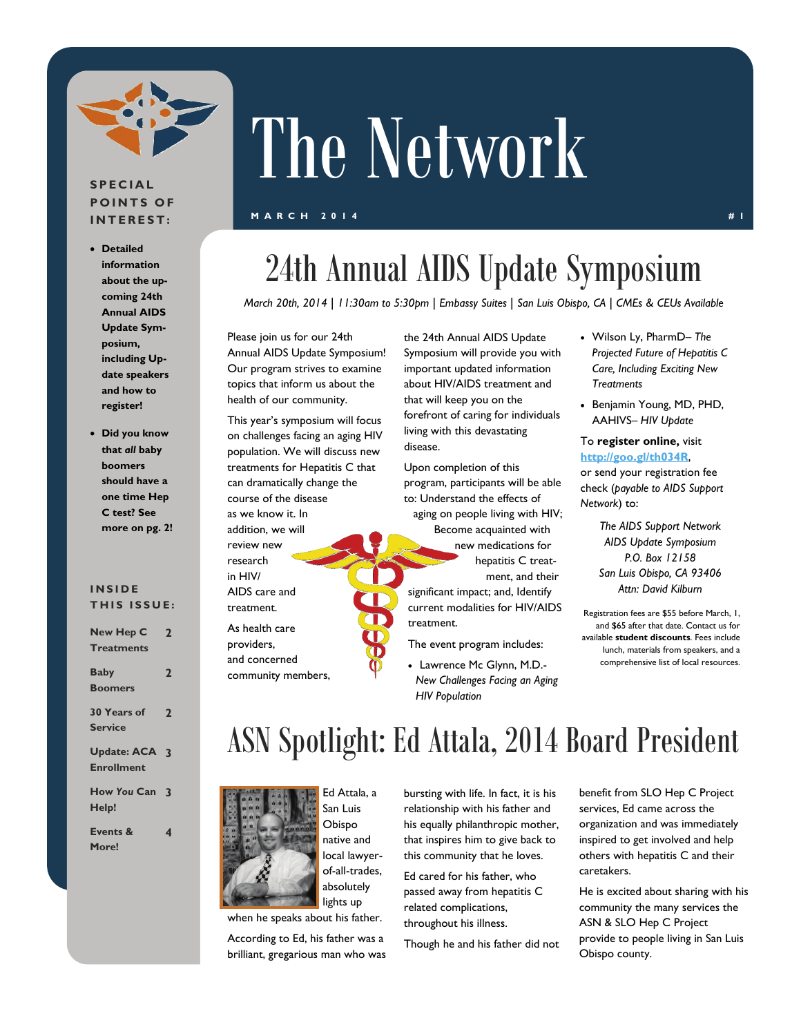

#### **SPECIAL POINTS OF INTEREST:**

- **Detailed information about the upcoming 24th Annual AIDS Update Symposium, including Update speakers and how to register!**
- **Did you know that** *all* **baby boomers should have a one time Hep C test? See more on pg. 2!**

#### **INSIDE THIS ISSUE:**

| <b>New Hep C</b>                          | $\mathbf{2}$   |
|-------------------------------------------|----------------|
| <b>Treatments</b>                         |                |
| <b>Baby</b><br><b>Boomers</b>             | $\overline{2}$ |
| 30 Years of<br><b>Service</b>             | $\mathbf 2$    |
| <b>Update: ACA 3</b><br><b>Enrollment</b> |                |
| How You Can 3<br>Help!                    |                |
| Events &<br>More!                         | 4              |

# The Network

#### **MARCH 2014** #1 **#1**

### 24th Annual AIDS Update Symposium

*March 20th, 2014* | *11:30am to 5:30pm* | *Embassy Suites* | *San Luis Obispo, CA* | *CMEs & CEUs Available* 

Please join us for our 24th Annual AIDS Update Symposium! Our program strives to examine topics that inform us about the health of our community.

This year's symposium will focus on challenges facing an aging HIV population. We will discuss new treatments for Hepatitis C that can dramatically change the course of the disease as we know it. In addition, we will review new research in HIV/ AIDS care and treatment.

As health care providers, and concerned community members, the 24th Annual AIDS Update Symposium will provide you with important updated information about HIV/AIDS treatment and that will keep you on the forefront of caring for individuals living with this devastating disease.

Upon completion of this program, participants will be able to: Understand the effects of

aging on people living with HIV; Become acquainted with new medications for hepatitis C treatment, and their significant impact; and, Identify current modalities for HIV/AIDS treatment.

The event program includes:

 Lawrence Mc Glynn, M.D.- *New Challenges Facing an Aging HIV Population*

- Wilson Ly, PharmD– *The Projected Future of Hepatitis C Care, Including Exciting New Treatments*
- Benjamin Young, MD, PHD, AAHIVS– *HIV Update*

#### To **register online,** visit **<http://goo.gl/th034R>**,

or send your registration fee check (*payable to AIDS Support Network*) to:

> *The AIDS Support Network AIDS Update Symposium P.O. Box 12158 San Luis Obispo, CA 93406 Attn: David Kilburn*

Registration fees are \$55 before March, 1, and \$65 after that date. Contact us for available **student discounts**. Fees include lunch, materials from speakers, and a comprehensive list of local resources.

### ASN Spotlight: Ed Attala, 2014 Board President



when he speaks about his father.

According to Ed, his father was a brilliant, gregarious man who was bursting with life. In fact, it is his relationship with his father and his equally philanthropic mother, that inspires him to give back to this community that he loves.

Ed cared for his father, who passed away from hepatitis C related complications, throughout his illness.

Though he and his father did not

benefit from SLO Hep C Project services, Ed came across the organization and was immediately inspired to get involved and help others with hepatitis C and their caretakers.

He is excited about sharing with his community the many services the ASN & SLO Hep C Project provide to people living in San Luis Obispo county.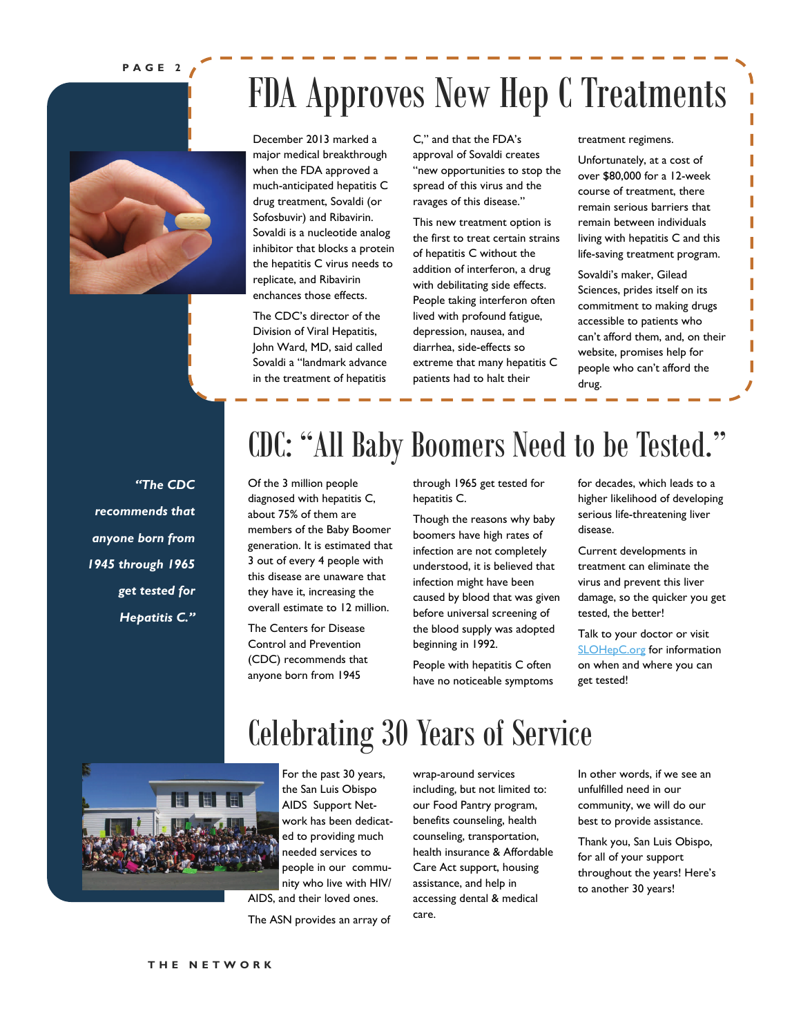#### **PAGE 2**

# FDA Approves New Hep C Treatments



December 2013 marked a major medical breakthrough when the FDA approved a much-anticipated hepatitis C drug treatment, Sovaldi (or Sofosbuvir) and Ribavirin. Sovaldi is a nucleotide analog inhibitor that blocks a protein the hepatitis C virus needs to replicate, and Ribavirin enchances those effects.

The CDC's director of the Division of Viral Hepatitis, John Ward, MD, said called Sovaldi a "landmark advance in the treatment of hepatitis C," and that the FDA's approval of Sovaldi creates "new opportunities to stop the spread of this virus and the ravages of this disease."

This new treatment option is the first to treat certain strains of hepatitis C without the addition of interferon, a drug with debilitating side effects. People taking interferon often lived with profound fatigue, depression, nausea, and diarrhea, side-effects so extreme that many hepatitis C patients had to halt their

#### treatment regimens.

Unfortunately, at a cost of over \$80,000 for a 12-week course of treatment, there remain serious barriers that remain between individuals living with hepatitis C and this life-saving treatment program.

Sovaldi's maker, Gilead Sciences, prides itself on its commitment to making drugs accessible to patients who can't afford them, and, on their website, promises help for people who can't afford the drug.

*"The CDC recommends that anyone born from 1945 through 1965 get tested for Hepatitis C."* 

### CDC: "All Baby Boomers Need to be Tested."

Of the 3 million people diagnosed with hepatitis C, about 75% of them are members of the Baby Boomer generation. It is estimated that 3 out of every 4 people with this disease are unaware that they have it, increasing the overall estimate to 12 million.

The Centers for Disease Control and Prevention (CDC) recommends that anyone born from 1945

through 1965 get tested for hepatitis C.

Though the reasons why baby boomers have high rates of infection are not completely understood, it is believed that infection might have been caused by blood that was given before universal screening of the blood supply was adopted beginning in 1992.

People with hepatitis C often have no noticeable symptoms

Celebrating 30 Years of Service

for decades, which leads to a higher likelihood of developing serious life-threatening liver disease.

Current developments in treatment can eliminate the virus and prevent this liver damage, so the quicker you get tested, the better!

Talk to your doctor or visit SLOHepC.org for information on when and where you can get tested!



For the past 30 years, the San Luis Obispo AIDS Support Network has been dedicated to providing much needed services to people in our community who live with HIV/ AIDS, and their loved ones.

The ASN provides an array of

wrap-around services including, but not limited to: our Food Pantry program, benefits counseling, health counseling, transportation, health insurance & Affordable Care Act support, housing assistance, and help in accessing dental & medical care.

In other words, if we see an unfulfilled need in our community, we will do our best to provide assistance.

Thank you, San Luis Obispo, for all of your support throughout the years! Here's to another 30 years!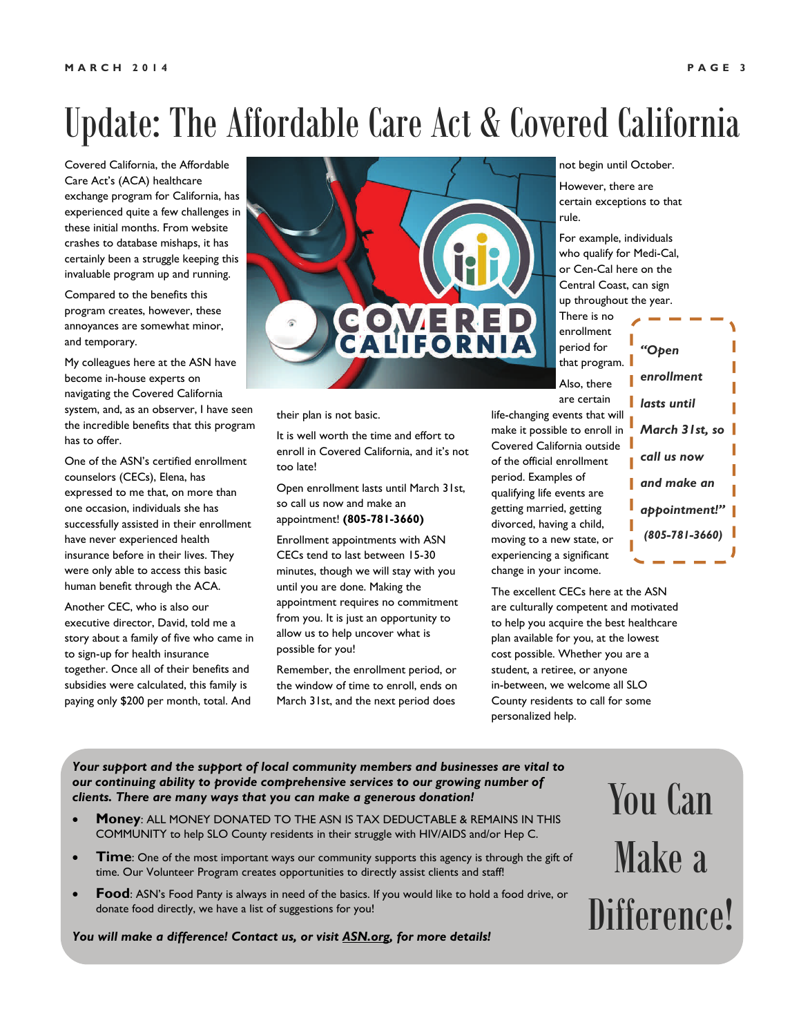### Update: The Affordable Care Act & Covered California

Covered California, the Affordable Care Act's (ACA) healthcare exchange program for California, has experienced quite a few challenges in these initial months. From website crashes to database mishaps, it has certainly been a struggle keeping this invaluable program up and running.

Compared to the benefits this program creates, however, these annoyances are somewhat minor, and temporary.

My colleagues here at the ASN have become in-house experts on navigating the Covered California system, and, as an observer, I have seen the incredible benefits that this program has to offer.

One of the ASN's certified enrollment counselors (CECs), Elena, has expressed to me that, on more than one occasion, individuals she has successfully assisted in their enrollment have never experienced health insurance before in their lives. They were only able to access this basic human benefit through the ACA.

Another CEC, who is also our executive director, David, told me a story about a family of five who came in to sign-up for health insurance together. Once all of their benefits and subsidies were calculated, this family is paying only \$200 per month, total. And



their plan is not basic.

It is well worth the time and effort to enroll in Covered California, and it's not too late!

Open enrollment lasts until March 31st, so call us now and make an appointment! **(805-781-3660)** 

Enrollment appointments with ASN CECs tend to last between 15-30 minutes, though we will stay with you until you are done. Making the appointment requires no commitment from you. It is just an opportunity to allow us to help uncover what is possible for you!

Remember, the enrollment period, or the window of time to enroll, ends on March 31st, and the next period does

not begin until October.

However, there are certain exceptions to that rule.

For example, individuals who qualify for Medi-Cal, or Cen-Cal here on the Central Coast, can sign up throughout the year. There is no

enrollment period for that program. Also, there are certain

life-changing events that will make it possible to enroll in Covered California outside of the official enrollment period. Examples of qualifying life events are getting married, getting divorced, having a child, moving to a new state, or experiencing a significant change in your income.

The excellent CECs here at the ASN are culturally competent and motivated to help you acquire the best healthcare plan available for you, at the lowest cost possible. Whether you are a student, a retiree, or anyone in-between, we welcome all SLO County residents to call for some personalized help.

*"Open enrollment lasts until March 31st, so call us now and make an appointment!" (805-781-3660)*

*Your support and the support of local community members and businesses are vital to our continuing ability to provide comprehensive services to our growing number of clients. There are many ways that you can make a generous donation!* 

- **Money**: ALL MONEY DONATED TO THE ASN IS TAX DEDUCTABLE & REMAINS IN THIS COMMUNITY to help SLO County residents in their struggle with HIV/AIDS and/or Hep C.
- **Time**: One of the most important ways our community supports this agency is through the gift of time. Our Volunteer Program creates opportunities to directly assist clients and staff!
- **Food**: ASN's Food Panty is always in need of the basics. If you would like to hold a food drive, or donate food directly, we have a list of suggestions for you!

*You will make a difference! Contact us, or visit [ASN.org](http://www.asn.org/), for more details!* 

You Can Make a Difference!